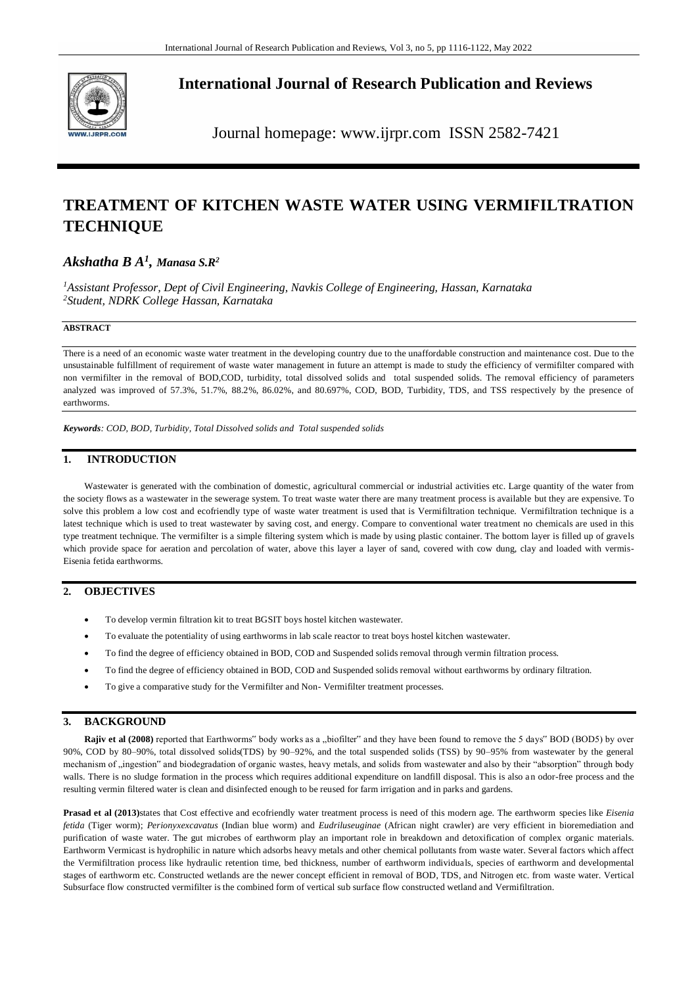

**International Journal of Research Publication and Reviews**

Journal homepage: www.ijrpr.com ISSN 2582-7421

# **TREATMENT OF KITCHEN WASTE WATER USING VERMIFILTRATION TECHNIQUE**

## *Akshatha B A<sup>1</sup> , Manasa S.R<sup>2</sup>*

*<sup>1</sup>Assistant Professor, Dept of Civil Engineering, Navkis College of Engineering, Hassan, Karnataka <sup>2</sup>Student, NDRK College Hassan, Karnataka*

### **ABSTRACT**

There is a need of an economic waste water treatment in the developing country due to the unaffordable construction and maintenance cost. Due to the unsustainable fulfillment of requirement of waste water management in future an attempt is made to study the efficiency of vermifilter compared with non vermifilter in the removal of BOD,COD, turbidity, total dissolved solids and total suspended solids. The removal efficiency of parameters analyzed was improved of 57.3%, 51.7%, 88.2%, 86.02%, and 80.697%, COD, BOD, Turbidity, TDS, and TSS respectively by the presence of earthworms.

*Keywords: COD, BOD, Turbidity, Total Dissolved solids and Total suspended solids*

### **1. INTRODUCTION**

Wastewater is generated with the combination of domestic, agricultural commercial or industrial activities etc. Large quantity of the water from the society flows as a wastewater in the sewerage system. To treat waste water there are many treatment process is available but they are expensive. To solve this problem a low cost and ecofriendly type of waste water treatment is used that is Vermifiltration technique. Vermifiltration technique is a latest technique which is used to treat wastewater by saving cost, and energy. Compare to conventional water treatment no chemicals are used in this type treatment technique. The vermifilter is a simple filtering system which is made by using plastic container. The bottom layer is filled up of gravels which provide space for aeration and percolation of water, above this layer a layer of sand, covered with cow dung, clay and loaded with vermis-Eisenia fetida earthworms.

### **2. OBJECTIVES**

- To develop vermin filtration kit to treat BGSIT boys hostel kitchen wastewater.
- To evaluate the potentiality of using earthworms in lab scale reactor to treat boys hostel kitchen wastewater.
- To find the degree of efficiency obtained in BOD, COD and Suspended solids removal through vermin filtration process.
- To find the degree of efficiency obtained in BOD, COD and Suspended solids removal without earthworms by ordinary filtration.
- To give a comparative study for the Vermifilter and Non- Vermifilter treatment processes.

#### **3. BACKGROUND**

**Rajiv et al (2008)** reported that Earthworms" body works as a "biofilter" and they have been found to remove the 5 days" BOD (BOD5) by over 90%, COD by 80–90%, total dissolved solids(TDS) by 90–92%, and the total suspended solids (TSS) by 90–95% from wastewater by the general mechanism of "ingestion" and biodegradation of organic wastes, heavy metals, and solids from wastewater and also by their "absorption" through body walls. There is no sludge formation in the process which requires additional expenditure on landfill disposal. This is also an odor-free process and the resulting vermin filtered water is clean and disinfected enough to be reused for farm irrigation and in parks and gardens.

**Prasad et al (2013)**states that Cost effective and ecofriendly water treatment process is need of this modern age. The earthworm species like *Eisenia fetida* (Tiger worm); *Perionyxexcavatus* (Indian blue worm) and *Eudriluseuginae* (African night crawler) are very efficient in bioremediation and purification of waste water. The gut microbes of earthworm play an important role in breakdown and detoxification of complex organic materials. Earthworm Vermicast is hydrophilic in nature which adsorbs heavy metals and other chemical pollutants from waste water. Several factors which affect the Vermifiltration process like hydraulic retention time, bed thickness, number of earthworm individuals, species of earthworm and developmental stages of earthworm etc. Constructed wetlands are the newer concept efficient in removal of BOD, TDS, and Nitrogen etc. from waste water. Vertical Subsurface flow constructed vermifilter is the combined form of vertical sub surface flow constructed wetland and Vermifiltration.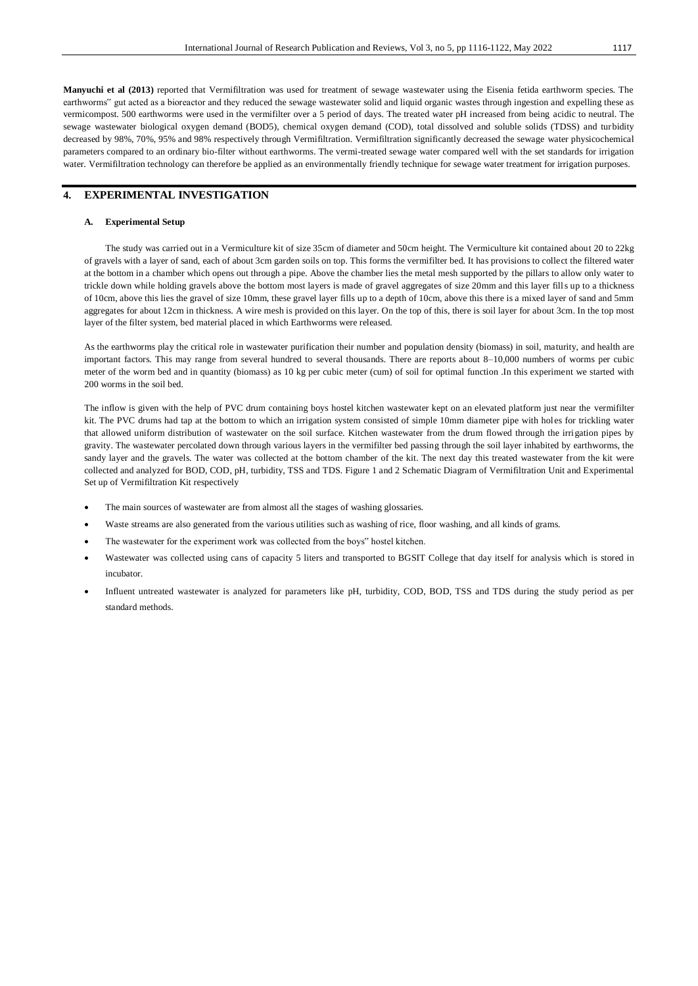**Manyuchi et al (2013)** reported that Vermifiltration was used for treatment of sewage wastewater using the Eisenia fetida earthworm species. The earthworms" gut acted as a bioreactor and they reduced the sewage wastewater solid and liquid organic wastes through ingestion and expelling these as vermicompost. 500 earthworms were used in the vermifilter over a 5 period of days. The treated water pH increased from being acidic to neutral. The sewage wastewater biological oxygen demand (BOD5), chemical oxygen demand (COD), total dissolved and soluble solids (TDSS) and turbidity decreased by 98%, 70%, 95% and 98% respectively through Vermifiltration. Vermifiltration significantly decreased the sewage water physicochemical parameters compared to an ordinary bio-filter without earthworms. The vermi-treated sewage water compared well with the set standards for irrigation water. Vermifiltration technology can therefore be applied as an environmentally friendly technique for sewage water treatment for irrigation purposes.

### **4. EXPERIMENTAL INVESTIGATION**

#### **A. Experimental Setup**

The study was carried out in a Vermiculture kit of size 35cm of diameter and 50cm height. The Vermiculture kit contained about 20 to 22kg of gravels with a layer of sand, each of about 3cm garden soils on top. This forms the vermifilter bed. It has provisions to collect the filtered water at the bottom in a chamber which opens out through a pipe. Above the chamber lies the metal mesh supported by the pillars to allow only water to trickle down while holding gravels above the bottom most layers is made of gravel aggregates of size 20mm and this layer fills up to a thickness of 10cm, above this lies the gravel of size 10mm, these gravel layer fills up to a depth of 10cm, above this there is a mixed layer of sand and 5mm aggregates for about 12cm in thickness. A wire mesh is provided on this layer. On the top of this, there is soil layer for about 3cm. In the top most layer of the filter system, bed material placed in which Earthworms were released.

As the earthworms play the critical role in wastewater purification their number and population density (biomass) in soil, maturity, and health are important factors. This may range from several hundred to several thousands. There are reports about 8–10,000 numbers of worms per cubic meter of the worm bed and in quantity (biomass) as 10 kg per cubic meter (cum) of soil for optimal function .In this experiment we started with 200 worms in the soil bed.

The inflow is given with the help of PVC drum containing boys hostel kitchen wastewater kept on an elevated platform just near the vermifilter kit. The PVC drums had tap at the bottom to which an irrigation system consisted of simple 10mm diameter pipe with holes for trickling water that allowed uniform distribution of wastewater on the soil surface. Kitchen wastewater from the drum flowed through the irrigation pipes by gravity. The wastewater percolated down through various layers in the vermifilter bed passing through the soil layer inhabited by earthworms, the sandy layer and the gravels. The water was collected at the bottom chamber of the kit. The next day this treated wastewater from the kit were collected and analyzed for BOD, COD, pH, turbidity, TSS and TDS. Figure 1 and 2 Schematic Diagram of Vermifiltration Unit and Experimental Set up of Vermifiltration Kit respectively

- The main sources of wastewater are from almost all the stages of washing glossaries.
- Waste streams are also generated from the various utilities such as washing of rice, floor washing, and all kinds of grams.
- The wastewater for the experiment work was collected from the boys" hostel kitchen.
- Wastewater was collected using cans of capacity 5 liters and transported to BGSIT College that day itself for analysis which is stored in incubator.
- Influent untreated wastewater is analyzed for parameters like pH, turbidity, COD, BOD, TSS and TDS during the study period as per standard methods.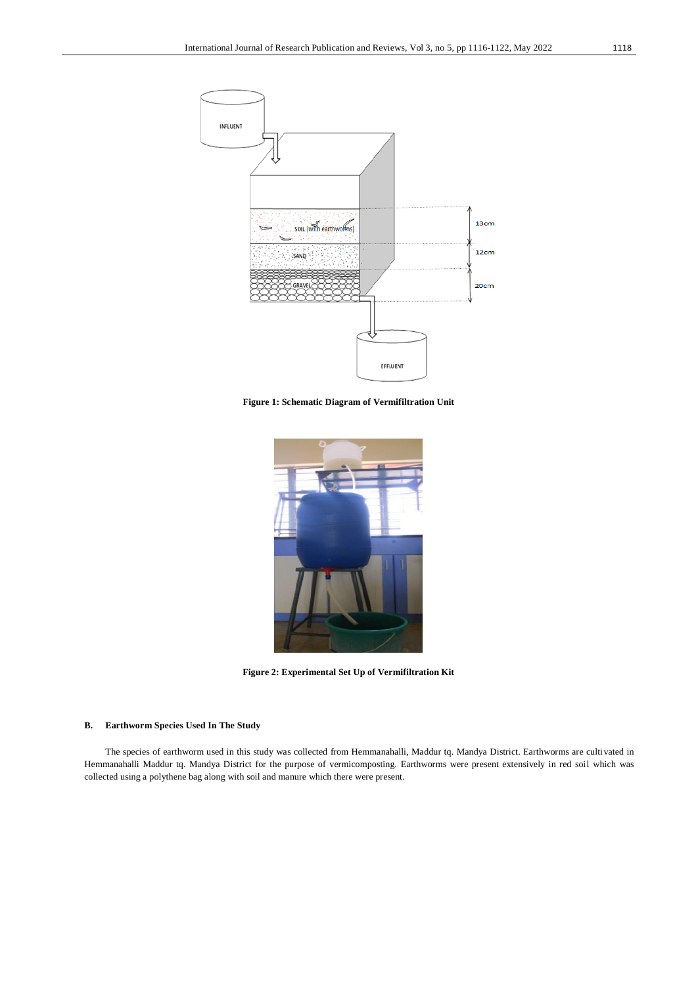

**Figure 1: Schematic Diagram of Vermifiltration Unit**



**Figure 2: Experimental Set Up of Vermifiltration Kit**

#### **B. Earthworm Species Used In The Study**

The species of earthworm used in this study was collected from Hemmanahalli, Maddur tq. Mandya District. Earthworms are cultivated in Hemmanahalli Maddur tq. Mandya District for the purpose of vermicomposting. Earthworms were present extensively in red soil which was collected using a polythene bag along with soil and manure which there were present.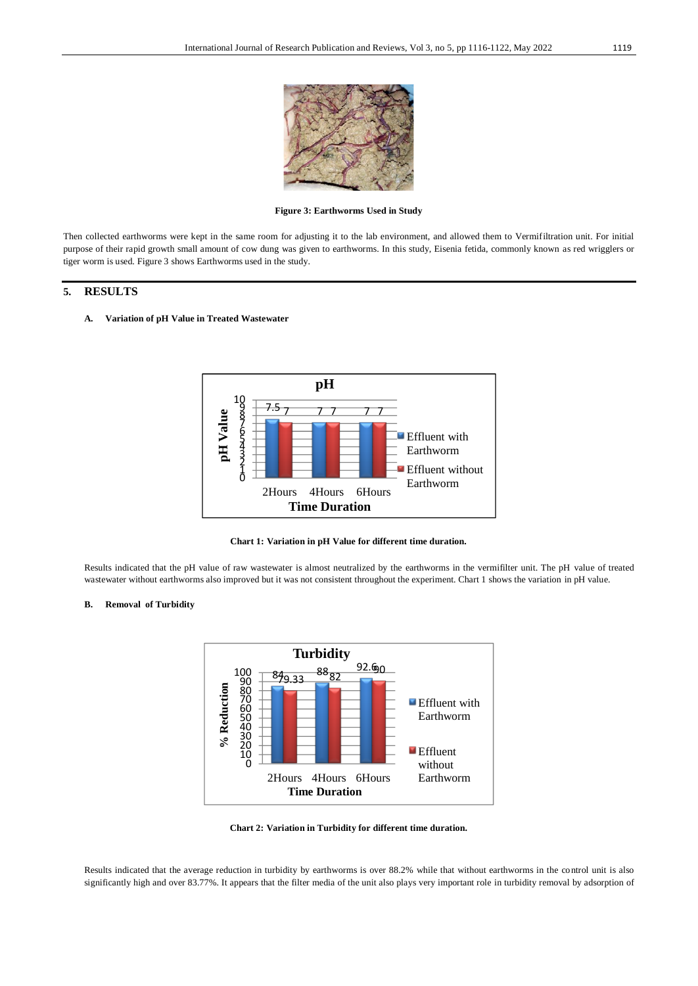

**Figure 3: Earthworms Used in Study**

Then collected earthworms were kept in the same room for adjusting it to the lab environment, and allowed them to Vermifiltration unit. For initial purpose of their rapid growth small amount of cow dung was given to earthworms. In this study, Eisenia fetida, commonly known as red wrigglers or tiger worm is used. Figure 3 shows Earthworms used in the study.

### **5. RESULTS**

**A. Variation of pH Value in Treated Wastewater**



**Chart 1: Variation in pH Value for different time duration.**

Results indicated that the pH value of raw wastewater is almost neutralized by the earthworms in the vermifilter unit. The pH value of treated wastewater without earthworms also improved but it was not consistent throughout the experiment. Chart 1 shows the variation in pH value.

#### **B. Removal of Turbidity**



**Chart 2: Variation in Turbidity for different time duration.**

Results indicated that the average reduction in turbidity by earthworms is over 88.2% while that without earthworms in the control unit is also significantly high and over 83.77%. It appears that the filter media of the unit also plays very important role in turbidity removal by adsorption of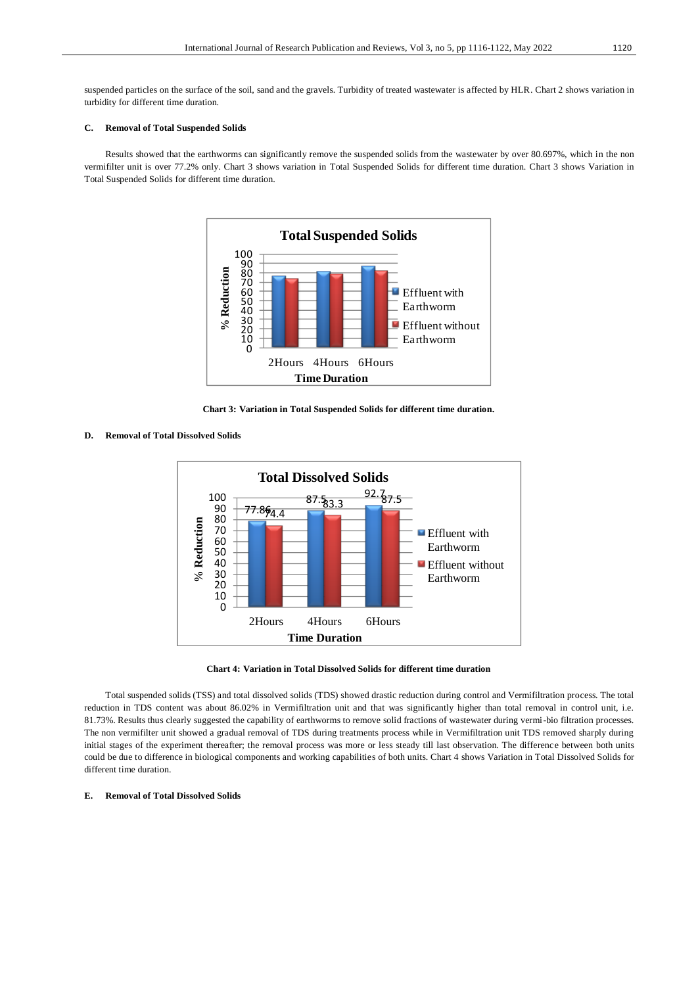suspended particles on the surface of the soil, sand and the gravels. Turbidity of treated wastewater is affected by HLR. Chart 2 shows variation in turbidity for different time duration.

#### **C. Removal of Total Suspended Solids**

Results showed that the earthworms can significantly remove the suspended solids from the wastewater by over 80.697%, which in the non vermifilter unit is over 77.2% only. Chart 3 shows variation in Total Suspended Solids for different time duration. Chart 3 shows Variation in Total Suspended Solids for different time duration.



**Chart 3: Variation in Total Suspended Solids for different time duration.**

#### **D. Removal of Total Dissolved Solids**



**Chart 4: Variation in Total Dissolved Solids for different time duration**

Total suspended solids (TSS) and total dissolved solids (TDS) showed drastic reduction during control and Vermifiltration process. The total reduction in TDS content was about 86.02% in Vermifiltration unit and that was significantly higher than total removal in control unit, i.e. 81.73%. Results thus clearly suggested the capability of earthworms to remove solid fractions of wastewater during vermi-bio filtration processes. The non vermifilter unit showed a gradual removal of TDS during treatments process while in Vermifiltration unit TDS removed sharply during initial stages of the experiment thereafter; the removal process was more or less steady till last observation. The difference between both units could be due to difference in biological components and working capabilities of both units. Chart 4 shows Variation in Total Dissolved Solids for different time duration.

#### **E. Removal of Total Dissolved Solids**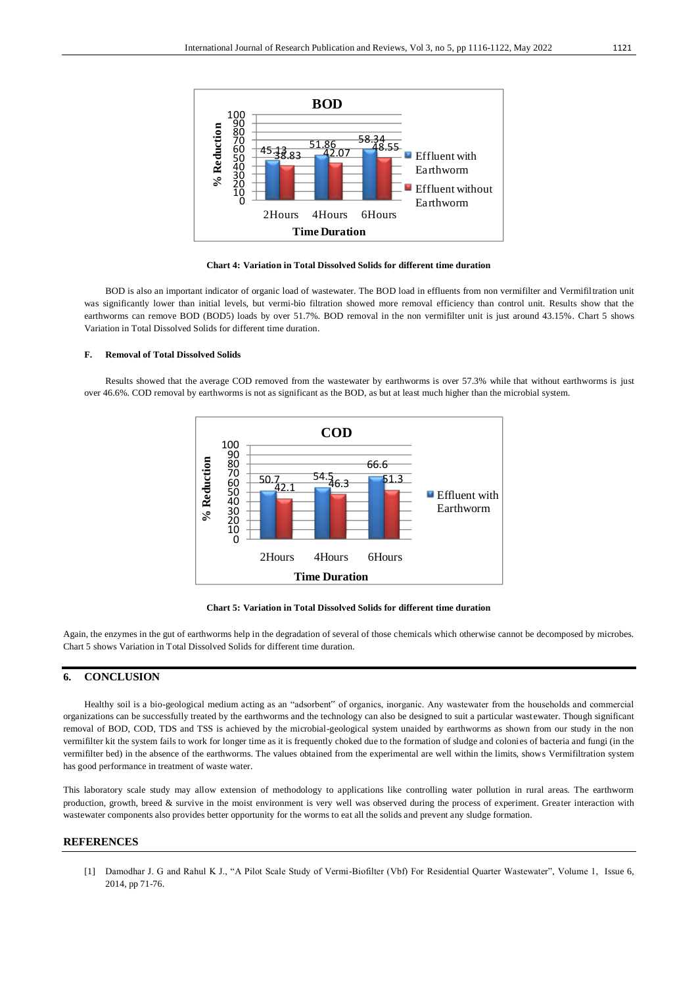

**Chart 4: Variation in Total Dissolved Solids for different time duration**

BOD is also an important indicator of organic load of wastewater. The BOD load in effluents from non vermifilter and Vermifiltration unit was significantly lower than initial levels, but vermi-bio filtration showed more removal efficiency than control unit. Results show that the earthworms can remove BOD (BOD5) loads by over 51.7%. BOD removal in the non vermifilter unit is just around 43.15%. Chart 5 shows Variation in Total Dissolved Solids for different time duration.

#### **F. Removal of Total Dissolved Solids**

Results showed that the average COD removed from the wastewater by earthworms is over 57.3% while that without earthworms is just over 46.6%. COD removal by earthworms is not as significant as the BOD, as but at least much higher than the microbial system.





Again, the enzymes in the gut of earthworms help in the degradation of several of those chemicals which otherwise cannot be decomposed by microbes. Chart 5 shows Variation in Total Dissolved Solids for different time duration.

### **6. CONCLUSION**

Healthy soil is a bio-geological medium acting as an "adsorbent" of organics, inorganic. Any wastewater from the households and commercial organizations can be successfully treated by the earthworms and the technology can also be designed to suit a particular wast ewater. Though significant removal of BOD, COD, TDS and TSS is achieved by the microbial-geological system unaided by earthworms as shown from our study in the non vermifilter kit the system fails to work for longer time as it is frequently choked due to the formation of sludge and colonies of bacteria and fungi (in the vermifilter bed) in the absence of the earthworms. The values obtained from the experimental are well within the limits, shows Vermifiltration system has good performance in treatment of waste water.

This laboratory scale study may allow extension of methodology to applications like controlling water pollution in rural areas. The earthworm production, growth, breed & survive in the moist environment is very well was observed during the process of experiment. Greater interaction with wastewater components also provides better opportunity for the worms to eat all the solids and prevent any sludge formation.

### **REFERENCES**

[1] Damodhar J. G and Rahul K J., "A Pilot Scale Study of Vermi-Biofilter (Vbf) For Residential Quarter Wastewater", Volume 1, Issue 6, 2014, pp 71-76.